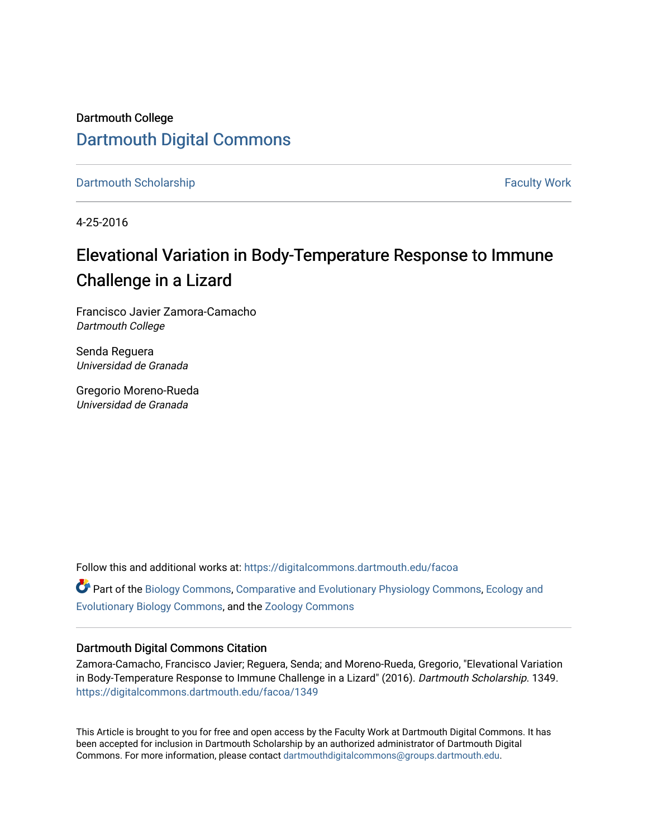Dartmouth College [Dartmouth Digital Commons](https://digitalcommons.dartmouth.edu/) 

[Dartmouth Scholarship](https://digitalcommons.dartmouth.edu/facoa) [Faculty Work](https://digitalcommons.dartmouth.edu/faculty) and The Basic Scholarship Faculty Work Faculty Work

4-25-2016

# Elevational Variation in Body-Temperature Response to Immune Challenge in a Lizard

Francisco Javier Zamora-Camacho Dartmouth College

Senda Reguera Universidad de Granada

Gregorio Moreno-Rueda Universidad de Granada

Follow this and additional works at: [https://digitalcommons.dartmouth.edu/facoa](https://digitalcommons.dartmouth.edu/facoa?utm_source=digitalcommons.dartmouth.edu%2Ffacoa%2F1349&utm_medium=PDF&utm_campaign=PDFCoverPages) Part of the [Biology Commons,](http://network.bepress.com/hgg/discipline/41?utm_source=digitalcommons.dartmouth.edu%2Ffacoa%2F1349&utm_medium=PDF&utm_campaign=PDFCoverPages) [Comparative and Evolutionary Physiology Commons,](http://network.bepress.com/hgg/discipline/71?utm_source=digitalcommons.dartmouth.edu%2Ffacoa%2F1349&utm_medium=PDF&utm_campaign=PDFCoverPages) [Ecology and](http://network.bepress.com/hgg/discipline/14?utm_source=digitalcommons.dartmouth.edu%2Ffacoa%2F1349&utm_medium=PDF&utm_campaign=PDFCoverPages) [Evolutionary Biology Commons](http://network.bepress.com/hgg/discipline/14?utm_source=digitalcommons.dartmouth.edu%2Ffacoa%2F1349&utm_medium=PDF&utm_campaign=PDFCoverPages), and the [Zoology Commons](http://network.bepress.com/hgg/discipline/81?utm_source=digitalcommons.dartmouth.edu%2Ffacoa%2F1349&utm_medium=PDF&utm_campaign=PDFCoverPages) 

#### Dartmouth Digital Commons Citation

Zamora-Camacho, Francisco Javier; Reguera, Senda; and Moreno-Rueda, Gregorio, "Elevational Variation in Body-Temperature Response to Immune Challenge in a Lizard" (2016). Dartmouth Scholarship. 1349. [https://digitalcommons.dartmouth.edu/facoa/1349](https://digitalcommons.dartmouth.edu/facoa/1349?utm_source=digitalcommons.dartmouth.edu%2Ffacoa%2F1349&utm_medium=PDF&utm_campaign=PDFCoverPages) 

This Article is brought to you for free and open access by the Faculty Work at Dartmouth Digital Commons. It has been accepted for inclusion in Dartmouth Scholarship by an authorized administrator of Dartmouth Digital Commons. For more information, please contact [dartmouthdigitalcommons@groups.dartmouth.edu](mailto:dartmouthdigitalcommons@groups.dartmouth.edu).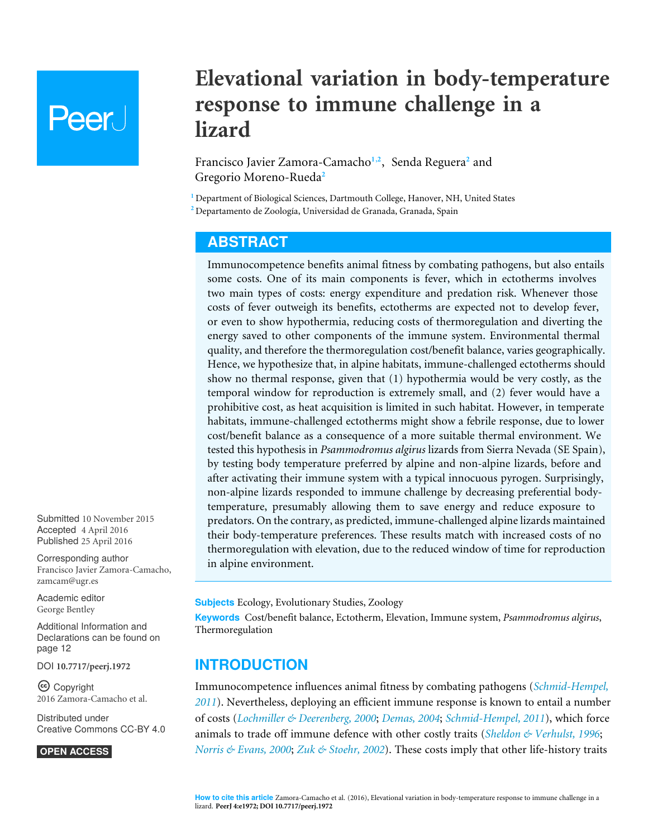# Peer.

# **Elevational variation in body-temperature response to immune challenge in a lizard**

<span id="page-1-3"></span><span id="page-1-2"></span>Francisco Javier Zamora-Camacho**[1](#page-1-0)**,**[2](#page-1-1)** , Senda Reguera**[2](#page-1-1)** and Gregorio Moreno-Rueda**[2](#page-1-1)**

<span id="page-1-0"></span>**<sup>1</sup>** Department of Biological Sciences, Dartmouth College, Hanover, NH, United States

<span id="page-1-1"></span>**<sup>2</sup>** Departamento de Zoología, Universidad de Granada, Granada, Spain

# <span id="page-1-4"></span>**ABSTRACT**

Immunocompetence benefits animal fitness by combating pathogens, but also entails some costs. One of its main components is fever, which in ectotherms involves two main types of costs: energy expenditure and predation risk. Whenever those costs of fever outweigh its benefits, ectotherms are expected not to develop fever, or even to show hypothermia, reducing costs of thermoregulation and diverting the energy saved to other components of the immune system. Environmental thermal quality, and therefore the thermoregulation cost/benefit balance, varies geographically. Hence, we hypothesize that, in alpine habitats, immune-challenged ectotherms should show no thermal response, given that (1) hypothermia would be very costly, as the temporal window for reproduction is extremely small, and (2) fever would have a prohibitive cost, as heat acquisition is limited in such habitat. However, in temperate habitats, immune-challenged ectotherms might show a febrile response, due to lower cost/benefit balance as a consequence of a more suitable thermal environment. We tested this hypothesis in *Psammodromus algirus* lizards from Sierra Nevada (SE Spain), by testing body temperature preferred by alpine and non-alpine lizards, before and after activating their immune system with a typical innocuous pyrogen. Surprisingly, non-alpine lizards responded to immune challenge by decreasing preferential bodytemperature, presumably allowing them to save energy and reduce exposure to predators. On the contrary, as predicted, immune-challenged alpine lizards maintained their body-temperature preferences. These results match with increased costs of no thermoregulation with elevation, due to the reduced window of time for reproduction in alpine environment.

**Subjects** Ecology, Evolutionary Studies, Zoology

**Keywords** Cost/benefit balance, Ectotherm, Elevation, Immune system, *Psammodromus algirus*, Thermoregulation

# **INTRODUCTION**

Immunocompetence influences animal fitness by combating pathogens (*[Schmid-Hempel,](#page-16-0) [2011](#page-16-0)*). Nevertheless, deploying an efficient immune response is known to entail a number of costs (*[Lochmiller & Deerenberg, 2000](#page-15-0)*; *[Demas, 2004](#page-14-0)*; *[Schmid-Hempel, 2011](#page-16-0)*), which force animals to trade off immune defence with other costly traits (*[Sheldon & Verhulst, 1996](#page-16-1)*; *[Norris & Evans, 2000](#page-16-2)*; *[Zuk & Stoehr, 2002](#page-17-0)*). These costs imply that other life-history traits

Submitted 10 November 2015 Accepted 4 April 2016 Published 25 April 2016

Corresponding author Francisco Javier Zamora-Camacho, [zamcam@ugr.es](mailto:zamcam@ugr.es)

[Academic editor](https://peerj.com/academic-boards/editors/) [George Bentley](https://peerj.com/academic-boards/editors/)

[Additional Information and](#page-12-0) [Declarations can be found on](#page-12-0) [page 12](#page-12-0)

DOI **[10.7717/peerj.1972](http://dx.doi.org/10.7717/peerj.1972)**

Ccopyright 2016 Zamora-Camacho et al.

[Distributed under](http://creativecommons.org/licenses/by/4.0/) [Creative Commons CC-BY 4.0](http://creativecommons.org/licenses/by/4.0/)

#### **OPEN ACCESS**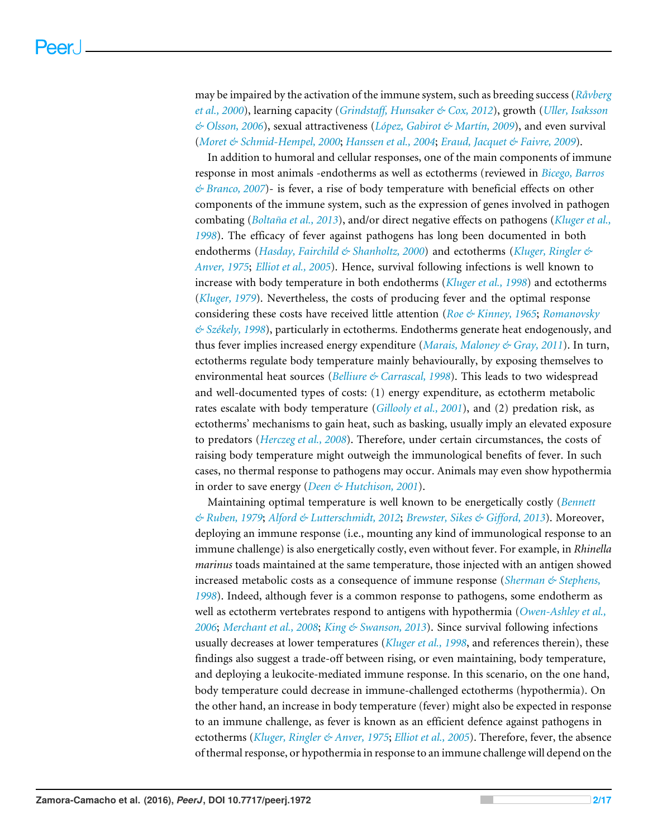may be impaired by the activation of the immune system, such as breeding success (*[Råvberg](#page-16-3) [et al., 2000](#page-16-3)*), learning capacity (*[Grindstaff, Hunsaker & Cox, 2012](#page-14-1)*), growth (*[Uller, Isaksson](#page-17-1) [& Olsson, 2006](#page-17-1)*), sexual attractiveness (*[López, Gabirot & Martín, 2009](#page-15-1)*), and even survival (*[Moret & Schmid-Hempel, 2000](#page-15-2)*; *[Hanssen et al., 2004](#page-14-2)*; *[Eraud, Jacquet & Faivre, 2009](#page-14-3)*).

In addition to humoral and cellular responses, one of the main components of immune response in most animals -endotherms as well as ectotherms (reviewed in *[Bicego, Barros](#page-13-0) [& Branco, 2007](#page-13-0)*)- is fever, a rise of body temperature with beneficial effects on other components of the immune system, such as the expression of genes involved in pathogen combating (*[Boltaña et al., 2013](#page-13-1)*), and/or direct negative effects on pathogens (*[Kluger et al.,](#page-15-3) [1998](#page-15-3)*). The efficacy of fever against pathogens has long been documented in both endotherms (*[Hasday, Fairchild & Shanholtz, 2000](#page-14-4)*) and ectotherms (*[Kluger, Ringler &](#page-15-4) [Anver, 1975](#page-15-4)*; *[Elliot et al., 2005](#page-14-5)*). Hence, survival following infections is well known to increase with body temperature in both endotherms (*[Kluger et al., 1998](#page-15-3)*) and ectotherms (*[Kluger, 1979](#page-15-5)*). Nevertheless, the costs of producing fever and the optimal response considering these costs have received little attention (*[Roe & Kinney, 1965](#page-16-4)*; *[Romanovsky](#page-16-5) [& Székely, 1998](#page-16-5)*), particularly in ectotherms. Endotherms generate heat endogenously, and thus fever implies increased energy expenditure (*[Marais, Maloney & Gray, 2011](#page-15-6)*). In turn, ectotherms regulate body temperature mainly behaviourally, by exposing themselves to environmental heat sources (*[Belliure & Carrascal, 1998](#page-13-2)*). This leads to two widespread and well-documented types of costs: (1) energy expenditure, as ectotherm metabolic rates escalate with body temperature (*[Gillooly et al., 2001](#page-14-6)*), and (2) predation risk, as ectotherms' mechanisms to gain heat, such as basking, usually imply an elevated exposure to predators (*[Herczeg et al., 2008](#page-15-7)*). Therefore, under certain circumstances, the costs of raising body temperature might outweigh the immunological benefits of fever. In such cases, no thermal response to pathogens may occur. Animals may even show hypothermia in order to save energy (*[Deen & Hutchison, 2001](#page-14-7)*).

Maintaining optimal temperature is well known to be energetically costly (*[Bennett](#page-13-3) [& Ruben, 1979](#page-13-3)*; *[Alford & Lutterschmidt, 2012](#page-13-4)*; *[Brewster, Sikes & Gifford, 2013](#page-14-8)*). Moreover, deploying an immune response (i.e., mounting any kind of immunological response to an immune challenge) is also energetically costly, even without fever. For example, in *Rhinella marinus* toads maintained at the same temperature, those injected with an antigen showed increased metabolic costs as a consequence of immune response (*[Sherman & Stephens,](#page-16-6) [1998](#page-16-6)*). Indeed, although fever is a common response to pathogens, some endotherm as well as ectotherm vertebrates respond to antigens with hypothermia (*[Owen-Ashley et al.,](#page-16-7) [2006](#page-16-7)*; *[Merchant et al., 2008](#page-15-8)*; *[King & Swanson, 2013](#page-15-9)*). Since survival following infections usually decreases at lower temperatures (*[Kluger et al., 1998](#page-15-3)*, and references therein), these findings also suggest a trade-off between rising, or even maintaining, body temperature, and deploying a leukocite-mediated immune response. In this scenario, on the one hand, body temperature could decrease in immune-challenged ectotherms (hypothermia). On the other hand, an increase in body temperature (fever) might also be expected in response to an immune challenge, as fever is known as an efficient defence against pathogens in ectotherms (*[Kluger, Ringler & Anver, 1975](#page-15-4)*; *[Elliot et al., 2005](#page-14-5)*). Therefore, fever, the absence of thermal response, or hypothermia in response to an immune challenge will depend on the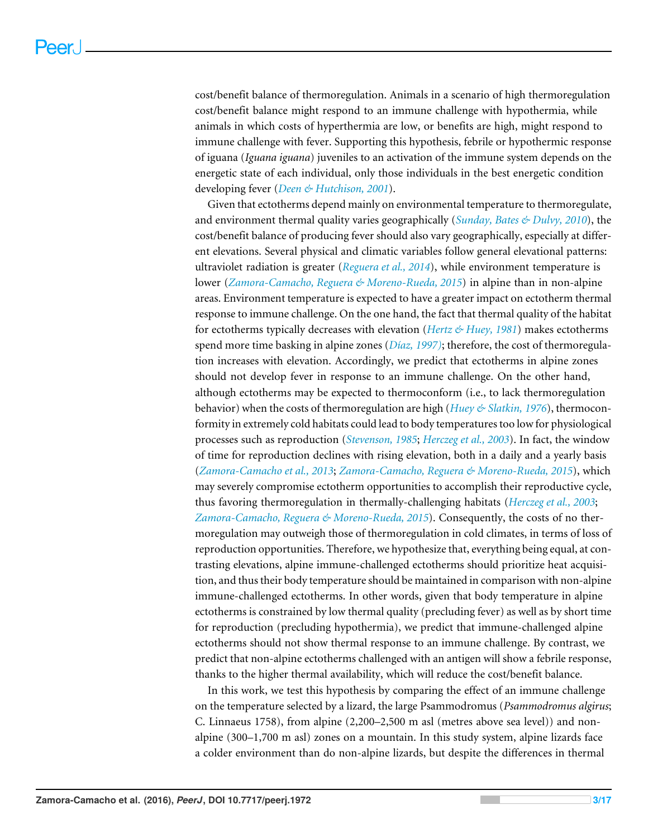cost/benefit balance of thermoregulation. Animals in a scenario of high thermoregulation cost/benefit balance might respond to an immune challenge with hypothermia, while animals in which costs of hyperthermia are low, or benefits are high, might respond to immune challenge with fever. Supporting this hypothesis, febrile or hypothermic response of iguana (*Iguana iguana*) juveniles to an activation of the immune system depends on the energetic state of each individual, only those individuals in the best energetic condition developing fever (*[Deen & Hutchison, 2001](#page-14-7)*).

Given that ectotherms depend mainly on environmental temperature to thermoregulate, and environment thermal quality varies geographically (*[Sunday, Bates & Dulvy, 2010](#page-17-2)*), the cost/benefit balance of producing fever should also vary geographically, especially at different elevations. Several physical and climatic variables follow general elevational patterns: ultraviolet radiation is greater (*[Reguera et al., 2014](#page-16-8)*), while environment temperature is lower (*[Zamora-Camacho, Reguera & Moreno-Rueda, 2015](#page-17-3)*) in alpine than in non-alpine areas. Environment temperature is expected to have a greater impact on ectotherm thermal response to immune challenge. On the one hand, the fact that thermal quality of the habitat for ectotherms typically decreases with elevation (*[Hertz & Huey, 1981](#page-15-10)*) makes ectotherms spend more time basking in alpine zones (*[Díaz, 1997\)](#page-14-9)*; therefore, the cost of thermoregulation increases with elevation. Accordingly, we predict that ectotherms in alpine zones should not develop fever in response to an immune challenge. On the other hand, although ectotherms may be expected to thermoconform (i.e., to lack thermoregulation behavior) when the costs of thermoregulation are high (*[Huey & Slatkin, 1976](#page-15-11)*), thermoconformity in extremely cold habitats could lead to body temperatures too low for physiological processes such as reproduction (*[Stevenson, 1985](#page-17-4)*; *[Herczeg et al., 2003](#page-15-12)*). In fact, the window of time for reproduction declines with rising elevation, both in a daily and a yearly basis (*[Zamora-Camacho et al., 2013](#page-17-5)*; *[Zamora-Camacho, Reguera & Moreno-Rueda, 2015](#page-17-3)*), which may severely compromise ectotherm opportunities to accomplish their reproductive cycle, thus favoring thermoregulation in thermally-challenging habitats (*[Herczeg et al., 2003](#page-15-12)*; *[Zamora-Camacho, Reguera & Moreno-Rueda, 2015](#page-17-3)*). Consequently, the costs of no thermoregulation may outweigh those of thermoregulation in cold climates, in terms of loss of reproduction opportunities. Therefore, we hypothesize that, everything being equal, at contrasting elevations, alpine immune-challenged ectotherms should prioritize heat acquisition, and thus their body temperature should be maintained in comparison with non-alpine immune-challenged ectotherms. In other words, given that body temperature in alpine ectotherms is constrained by low thermal quality (precluding fever) as well as by short time for reproduction (precluding hypothermia), we predict that immune-challenged alpine ectotherms should not show thermal response to an immune challenge. By contrast, we predict that non-alpine ectotherms challenged with an antigen will show a febrile response, thanks to the higher thermal availability, which will reduce the cost/benefit balance.

In this work, we test this hypothesis by comparing the effect of an immune challenge on the temperature selected by a lizard, the large Psammodromus (*Psammodromus algirus*; C. Linnaeus 1758), from alpine (2,200–2,500 m asl (metres above sea level)) and nonalpine (300–1,700 m asl) zones on a mountain. In this study system, alpine lizards face a colder environment than do non-alpine lizards, but despite the differences in thermal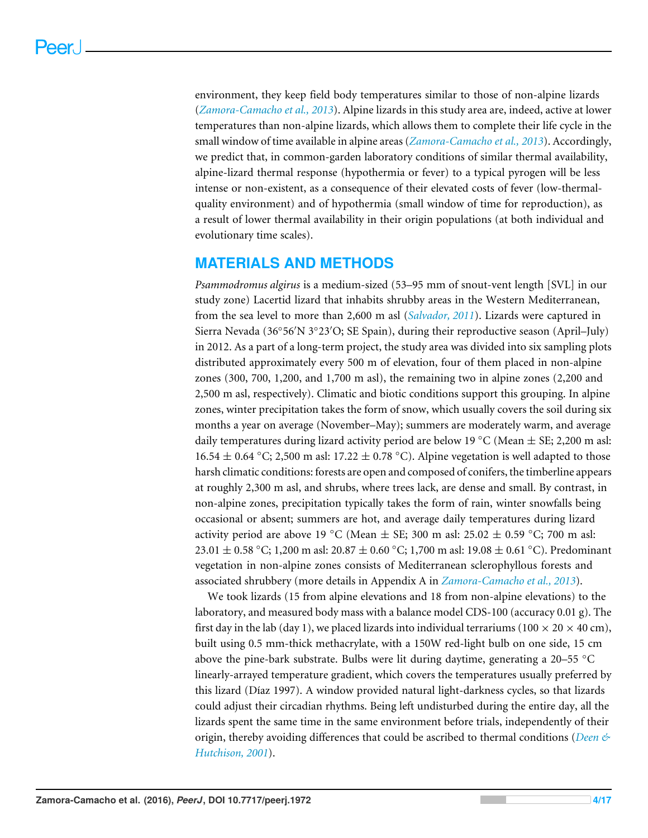environment, they keep field body temperatures similar to those of non-alpine lizards (*[Zamora-Camacho et al., 2013](#page-17-5)*). Alpine lizards in this study area are, indeed, active at lower temperatures than non-alpine lizards, which allows them to complete their life cycle in the small window of time available in alpine areas (*[Zamora-Camacho et al., 2013](#page-17-5)*). Accordingly, we predict that, in common-garden laboratory conditions of similar thermal availability, alpine-lizard thermal response (hypothermia or fever) to a typical pyrogen will be less intense or non-existent, as a consequence of their elevated costs of fever (low-thermalquality environment) and of hypothermia (small window of time for reproduction), as a result of lower thermal availability in their origin populations (at both individual and evolutionary time scales).

# **MATERIALS AND METHODS**

*Psammodromus algirus* is a medium-sized (53–95 mm of snout-vent length [SVL] in our study zone) Lacertid lizard that inhabits shrubby areas in the Western Mediterranean, from the sea level to more than 2,600 m asl (*[Salvador, 2011](#page-16-9)*). Lizards were captured in Sierra Nevada (36°56'N 3°23'O; SE Spain), during their reproductive season (April-July) in 2012. As a part of a long-term project, the study area was divided into six sampling plots distributed approximately every 500 m of elevation, four of them placed in non-alpine zones (300, 700, 1,200, and 1,700 m asl), the remaining two in alpine zones (2,200 and 2,500 m asl, respectively). Climatic and biotic conditions support this grouping. In alpine zones, winter precipitation takes the form of snow, which usually covers the soil during six months a year on average (November–May); summers are moderately warm, and average daily temperatures during lizard activity period are below 19 °C (Mean  $\pm$  SE; 2,200 m asl: 16.54  $\pm$  0.64 °C; 2,500 m asl: 17.22  $\pm$  0.78 °C). Alpine vegetation is well adapted to those harsh climatic conditions: forests are open and composed of conifers, the timberline appears at roughly 2,300 m asl, and shrubs, where trees lack, are dense and small. By contrast, in non-alpine zones, precipitation typically takes the form of rain, winter snowfalls being occasional or absent; summers are hot, and average daily temperatures during lizard activity period are above 19 °C (Mean  $\pm$  SE; 300 m asl: 25.02  $\pm$  0.59 °C; 700 m asl: 23.01 ± 0.58 °C; 1,200 m asl: 20.87 ± 0.60 °C; 1,700 m asl: 19.08 ± 0.61 °C). Predominant vegetation in non-alpine zones consists of Mediterranean sclerophyllous forests and associated shrubbery (more details in Appendix A in *[Zamora-Camacho et al., 2013](#page-17-5)*).

We took lizards (15 from alpine elevations and 18 from non-alpine elevations) to the laboratory, and measured body mass with a balance model CDS-100 (accuracy 0.01 g). The first day in the lab (day 1), we placed lizards into individual terrariums (100  $\times$  20  $\times$  40 cm), built using 0.5 mm-thick methacrylate, with a 150W red-light bulb on one side, 15 cm above the pine-bark substrate. Bulbs were lit during daytime, generating a  $20-55$  °C linearly-arrayed temperature gradient, which covers the temperatures usually preferred by this lizard (Díaz 1997). A window provided natural light-darkness cycles, so that lizards could adjust their circadian rhythms. Being left undisturbed during the entire day, all the lizards spent the same time in the same environment before trials, independently of their origin, thereby avoiding differences that could be ascribed to thermal conditions (*[Deen &](#page-14-7) [Hutchison, 2001](#page-14-7)*).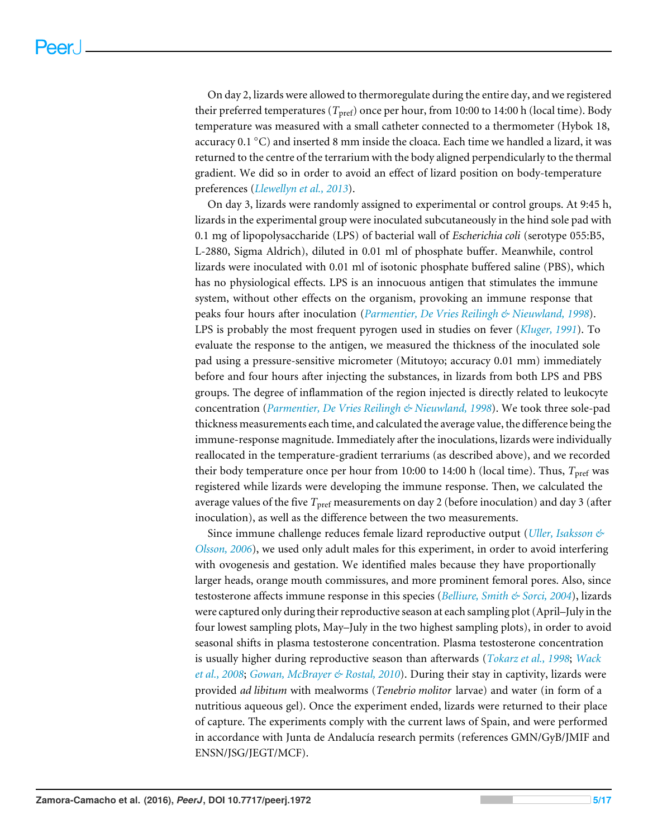On day 2, lizards were allowed to thermoregulate during the entire day, and we registered their preferred temperatures (*T*<sub>pref</sub>) once per hour, from 10:00 to 14:00 h (local time). Body temperature was measured with a small catheter connected to a thermometer (Hybok 18, accuracy 0.1 ◦C) and inserted 8 mm inside the cloaca. Each time we handled a lizard, it was returned to the centre of the terrarium with the body aligned perpendicularly to the thermal gradient. We did so in order to avoid an effect of lizard position on body-temperature preferences (*[Llewellyn et al., 2013](#page-15-13)*).

On day 3, lizards were randomly assigned to experimental or control groups. At 9:45 h, lizards in the experimental group were inoculated subcutaneously in the hind sole pad with 0.1 mg of lipopolysaccharide (LPS) of bacterial wall of *Escherichia coli* (serotype 055:B5, L-2880, Sigma Aldrich), diluted in 0.01 ml of phosphate buffer. Meanwhile, control lizards were inoculated with 0.01 ml of isotonic phosphate buffered saline (PBS), which has no physiological effects. LPS is an innocuous antigen that stimulates the immune system, without other effects on the organism, provoking an immune response that peaks four hours after inoculation (*[Parmentier, De Vries Reilingh & Nieuwland, 1998](#page-16-10)*). LPS is probably the most frequent pyrogen used in studies on fever (*[Kluger, 1991](#page-15-14)*). To evaluate the response to the antigen, we measured the thickness of the inoculated sole pad using a pressure-sensitive micrometer (Mitutoyo; accuracy 0.01 mm) immediately before and four hours after injecting the substances, in lizards from both LPS and PBS groups. The degree of inflammation of the region injected is directly related to leukocyte concentration (*[Parmentier, De Vries Reilingh & Nieuwland, 1998](#page-16-10)*). We took three sole-pad thickness measurements each time, and calculated the average value, the difference being the immune-response magnitude. Immediately after the inoculations, lizards were individually reallocated in the temperature-gradient terrariums (as described above), and we recorded their body temperature once per hour from 10:00 to 14:00 h (local time). Thus,  $T_{\text{pref}}$  was registered while lizards were developing the immune response. Then, we calculated the average values of the five *T*<sub>pref</sub> measurements on day 2 (before inoculation) and day 3 (after inoculation), as well as the difference between the two measurements.

Since immune challenge reduces female lizard reproductive output (*[Uller, Isaksson &](#page-17-1) [Olsson, 2006](#page-17-1)*), we used only adult males for this experiment, in order to avoid interfering with ovogenesis and gestation. We identified males because they have proportionally larger heads, orange mouth commissures, and more prominent femoral pores. Also, since testosterone affects immune response in this species (*[Belliure, Smith & Sorci, 2004](#page-13-5)*), lizards were captured only during their reproductive season at each sampling plot (April–July in the four lowest sampling plots, May–July in the two highest sampling plots), in order to avoid seasonal shifts in plasma testosterone concentration. Plasma testosterone concentration is usually higher during reproductive season than afterwards (*[Tokarz et al., 1998](#page-17-6)*; *[Wack](#page-17-7) [et al., 2008](#page-17-7)*; *[Gowan, McBrayer & Rostal, 2010](#page-14-10)*). During their stay in captivity, lizards were provided *ad libitum* with mealworms (*Tenebrio molitor* larvae) and water (in form of a nutritious aqueous gel). Once the experiment ended, lizards were returned to their place of capture. The experiments comply with the current laws of Spain, and were performed in accordance with Junta de Andalucía research permits (references GMN/GyB/JMIF and ENSN/JSG/JEGT/MCF).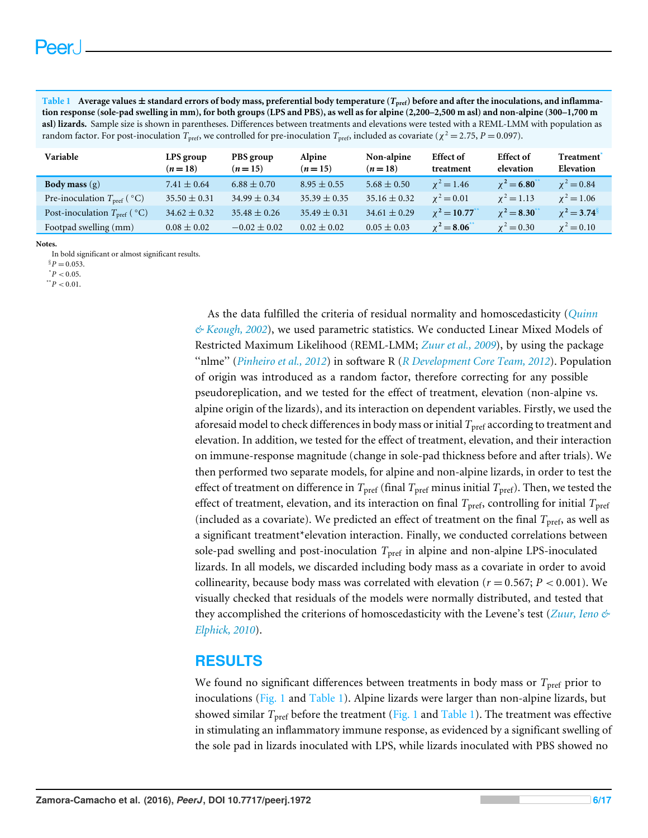<span id="page-6-3"></span>

| Table 1 Average values $\pm$ standard errors of body mass, preferential body temperature ( $T_{\text{pref}}$ ) before and after the inoculations, and inflamma-        |
|------------------------------------------------------------------------------------------------------------------------------------------------------------------------|
| tion response (sole-pad swelling in mm), for both groups (LPS and PBS), as well as for alpine (2,200–2,500 m asl) and non-alpine (300–1,700 m                          |
| asl) lizards. Sample size is shown in parentheses. Differences between treatments and elevations were tested with a REML-LMM with population as                        |
| random factor. For post-inoculation $T_{\text{pref}}$ , we controlled for pre-inoculation $T_{\text{pref}}$ , included as covariate ( $\chi^2 = 2.75$ , $P = 0.097$ ). |

| Variable                                           | LPS group<br>$(n=18)$ | PBS group<br>$(n=15)$ | Alpine<br>$(n=15)$ | Non-alpine<br>$(n=18)$ | <b>Effect of</b><br>treatment | <b>Effect</b> of<br>elevation | Treatment <sup>*</sup><br>Elevation |
|----------------------------------------------------|-----------------------|-----------------------|--------------------|------------------------|-------------------------------|-------------------------------|-------------------------------------|
| <b>Body mass</b> $(g)$                             | $7.41 \pm 0.64$       | $6.88 \pm 0.70$       | $8.95 \pm 0.55$    | $5.68 \pm 0.50$        | $\chi^2 = 1.46$               | $\chi^2 = 6.80$               | $\chi^2 = 0.84$                     |
| Pre-inoculation $T_{\text{pref}}$ ( $^{\circ}$ C)  | $35.50 \pm 0.31$      | $34.99 \pm 0.34$      | $35.39 \pm 0.35$   | $35.16 \pm 0.32$       | $x^2 = 0.01$                  | $x^2 = 1.13$                  | $x^2 = 1.06$                        |
| Post-inoculation $T_{\text{pref}}$ ( $^{\circ}$ C) | $34.62 \pm 0.32$      | $35.48 \pm 0.26$      | $35.49 \pm 0.31$   | $34.61 \pm 0.29$       | $\chi^2 = 10.77$              | $\chi^2 = 8.30^{\circ}$       | $\chi^2 = 3.74^8$                   |
| Footpad swelling (mm)                              | $0.08 \pm 0.02$       | $-0.02 \pm 0.02$      | $0.02 \pm 0.02$    | $0.05 \pm 0.03$        | $\chi^2 = 8.06$               | $\chi^2 = 0.30$               | $\chi^2 = 0.10$                     |

#### **Notes.**

In bold significant or almost significant results.

<span id="page-6-1"></span><span id="page-6-0"></span> $^*P < 0.05$ .  $*$ <sup>\*</sup> $P$  < 0.01.

> As the data fulfilled the criteria of residual normality and homoscedasticity (*[Quinn](#page-16-11) [& Keough, 2002](#page-16-11)*), we used parametric statistics. We conducted Linear Mixed Models of Restricted Maximum Likelihood (REML-LMM; *[Zuur et al., 2009](#page-17-8)*), by using the package ''nlme'' (*[Pinheiro et al., 2012](#page-16-12)*) in software R (*[R Development Core Team, 2012](#page-16-13)*). Population of origin was introduced as a random factor, therefore correcting for any possible pseudoreplication, and we tested for the effect of treatment, elevation (non-alpine vs. alpine origin of the lizards), and its interaction on dependent variables. Firstly, we used the aforesaid model to check differences in body mass or initial  $T_{\text{pref}}$  according to treatment and elevation. In addition, we tested for the effect of treatment, elevation, and their interaction on immune-response magnitude (change in sole-pad thickness before and after trials). We then performed two separate models, for alpine and non-alpine lizards, in order to test the effect of treatment on difference in  $T_{\text{pref}}$  (final  $T_{\text{pref}}$  minus initial  $T_{\text{pref}}$ ). Then, we tested the effect of treatment, elevation, and its interaction on final  $T_{\text{pref}}$ , controlling for initial  $T_{\text{pref}}$ (included as a covariate). We predicted an effect of treatment on the final *T*pref, as well as a significant treatment\*elevation interaction. Finally, we conducted correlations between sole-pad swelling and post-inoculation  $T_{\text{pref}}$  in alpine and non-alpine LPS-inoculated lizards. In all models, we discarded including body mass as a covariate in order to avoid collinearity, because body mass was correlated with elevation ( $r = 0.567$ ;  $P < 0.001$ ). We visually checked that residuals of the models were normally distributed, and tested that they accomplished the criterions of homoscedasticity with the Levene's test (*[Zuur, Ieno &](#page-17-9) [Elphick, 2010](#page-17-9)*).

# **RESULTS**

We found no significant differences between treatments in body mass or *T*<sub>pref</sub> prior to inoculations [\(Fig. 1](#page-7-0) and [Table 1\)](#page-6-3). Alpine lizards were larger than non-alpine lizards, but showed similar  $T_{\text{pref}}$  before the treatment [\(Fig. 1](#page-7-0) and [Table 1\)](#page-6-3). The treatment was effective in stimulating an inflammatory immune response, as evidenced by a significant swelling of the sole pad in lizards inoculated with LPS, while lizards inoculated with PBS showed no

<span id="page-6-2"></span> ${}^8P = 0.053$ .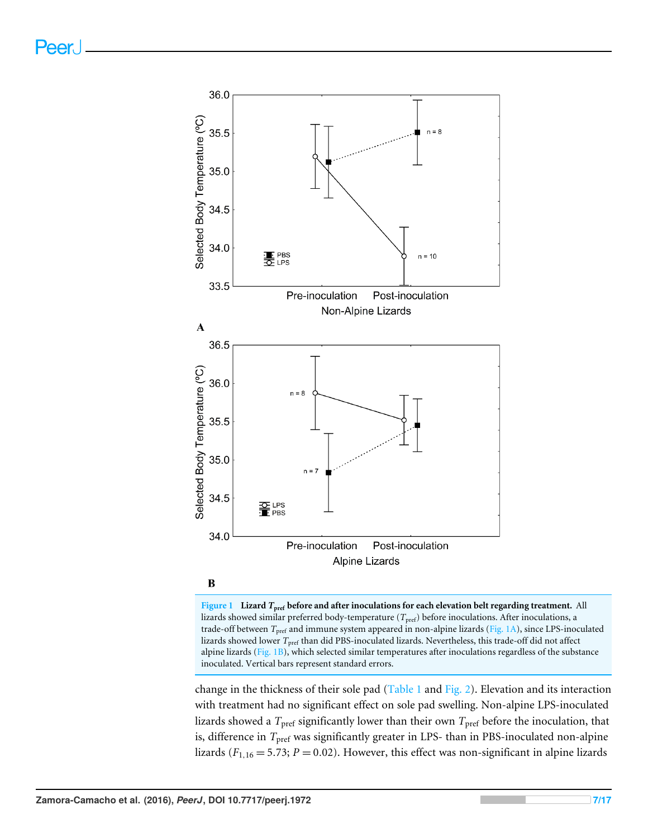<span id="page-7-0"></span>



**Figure 1 Lizard** *T***pref before and after inoculations for each elevation belt regarding treatment.** All lizards showed similar preferred body-temperature (*T<sub>pref</sub>*) before inoculations. After inoculations, a trade-off between *T*pref and immune system appeared in non-alpine lizards [\(Fig. 1A\)](#page-7-0), since LPS-inoculated lizards showed lower *T*<sub>pref</sub> than did PBS-inoculated lizards. Nevertheless, this trade-off did not affect alpine lizards (Fig.  $1B$ ), which selected similar temperatures after inoculations regardless of the substance inoculated. Vertical bars represent standard errors.

change in the thickness of their sole pad [\(Table 1](#page-6-3) and [Fig. 2\)](#page-8-0). Elevation and its interaction with treatment had no significant effect on sole pad swelling. Non-alpine LPS-inoculated lizards showed a  $T_{\text{pref}}$  significantly lower than their own  $T_{\text{pref}}$  before the inoculation, that is, difference in *T*<sub>pref</sub> was significantly greater in LPS- than in PBS-inoculated non-alpine lizards ( $F_{1,16} = 5.73$ ;  $P = 0.02$ ). However, this effect was non-significant in alpine lizards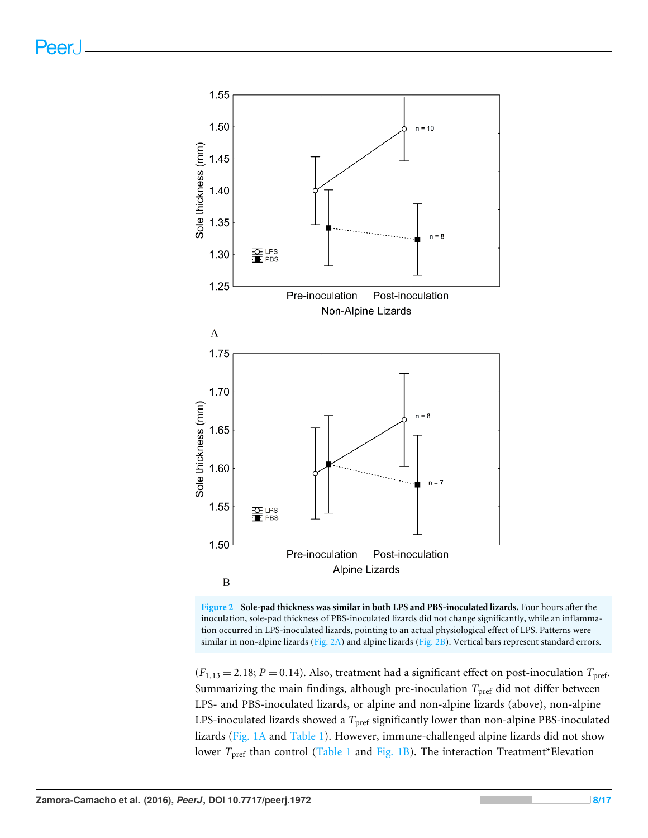<span id="page-8-0"></span>



 $(F_{1,13} = 2.18; P = 0.14)$ . Also, treatment had a significant effect on post-inoculation  $T_{\text{pref}}$ . Summarizing the main findings, although pre-inoculation  $T_{\text{pref}}$  did not differ between LPS- and PBS-inoculated lizards, or alpine and non-alpine lizards (above), non-alpine LPS-inoculated lizards showed a *T*<sub>pref</sub> significantly lower than non-alpine PBS-inoculated lizards [\(Fig. 1A](#page-7-0) and [Table 1\)](#page-6-3). However, immune-challenged alpine lizards did not show lower *T*<sub>pref</sub> than control [\(Table 1](#page-6-3) and [Fig. 1B\)](#page-7-0). The interaction Treatment\*Elevation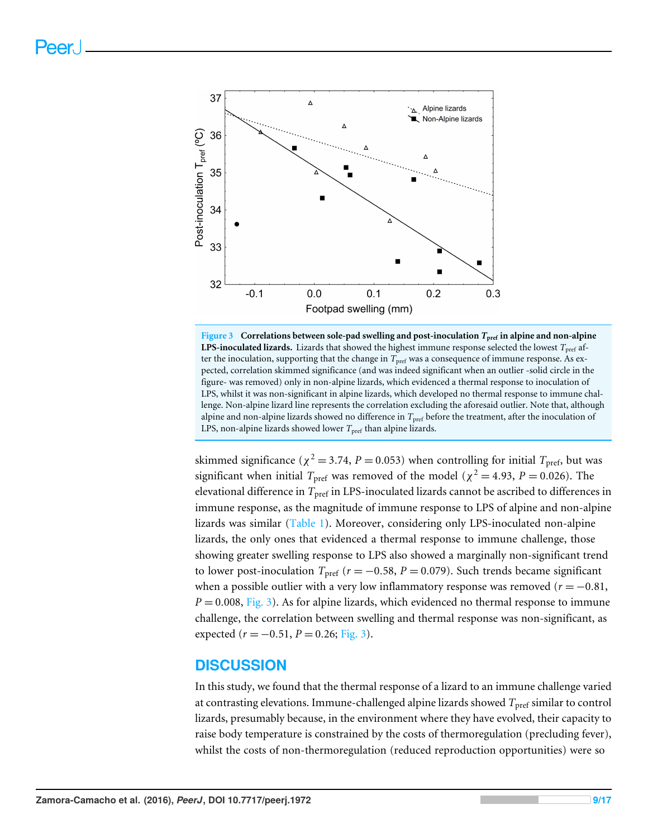<span id="page-9-0"></span>

**Figure 3 Correlations between sole-pad swelling and post-inoculation** *T***pref in alpine and non-alpine LPS-inoculated lizards.** Lizards that showed the highest immune response selected the lowest  $T_{\text{pref}}$  after the inoculation, supporting that the change in *T*<sub>pref</sub> was a consequence of immune response. As expected, correlation skimmed significance (and was indeed significant when an outlier -solid circle in the figure- was removed) only in non-alpine lizards, which evidenced a thermal response to inoculation of LPS, whilst it was non-significant in alpine lizards, which developed no thermal response to immune challenge. Non-alpine lizard line represents the correlation excluding the aforesaid outlier. Note that, although alpine and non-alpine lizards showed no difference in *T*pref before the treatment, after the inoculation of LPS, non-alpine lizards showed lower *T*<sub>pref</sub> than alpine lizards.

skimmed significance ( $\chi^2$  = 3.74, *P* = 0.053) when controlling for initial *T*<sub>pref</sub>, but was significant when initial  $T_{\text{pref}}$  was removed of the model ( $\chi^2 = 4.93$ ,  $P = 0.026$ ). The elevational difference in *T*pref in LPS-inoculated lizards cannot be ascribed to differences in immune response, as the magnitude of immune response to LPS of alpine and non-alpine lizards was similar [\(Table 1\)](#page-6-3). Moreover, considering only LPS-inoculated non-alpine lizards, the only ones that evidenced a thermal response to immune challenge, those showing greater swelling response to LPS also showed a marginally non-significant trend to lower post-inoculation  $T_{\text{pref}}$  ( $r = -0.58$ ,  $P = 0.079$ ). Such trends became significant when a possible outlier with a very low inflammatory response was removed  $(r = -0.81,$  $P = 0.008$ , [Fig. 3\)](#page-9-0). As for alpine lizards, which evidenced no thermal response to immune challenge, the correlation between swelling and thermal response was non-significant, as expected  $(r = -0.51, P = 0.26;$  [Fig. 3\)](#page-9-0).

# **DISCUSSION**

In this study, we found that the thermal response of a lizard to an immune challenge varied at contrasting elevations. Immune-challenged alpine lizards showed *T*pref similar to control lizards, presumably because, in the environment where they have evolved, their capacity to raise body temperature is constrained by the costs of thermoregulation (precluding fever), whilst the costs of non-thermoregulation (reduced reproduction opportunities) were so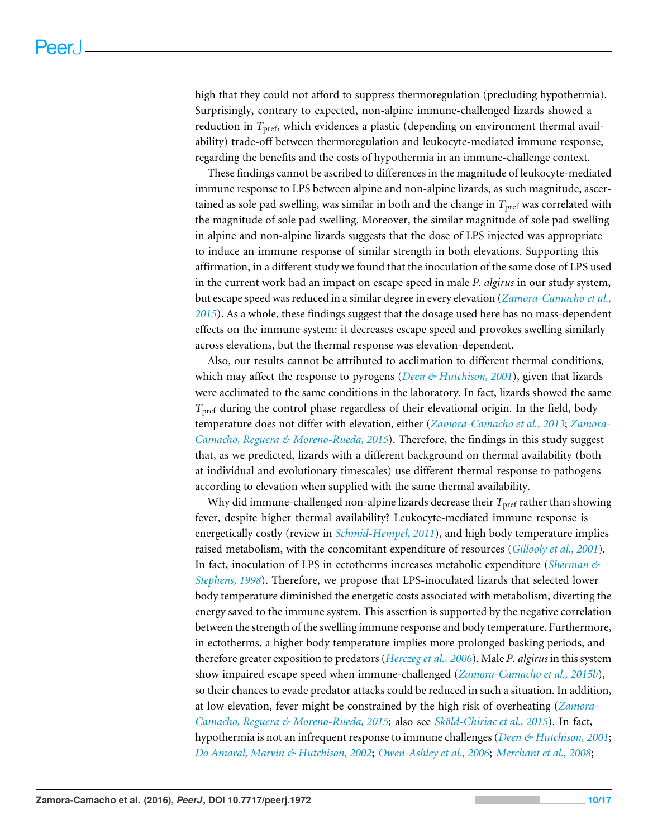high that they could not afford to suppress thermoregulation (precluding hypothermia). Surprisingly, contrary to expected, non-alpine immune-challenged lizards showed a reduction in *T*pref, which evidences a plastic (depending on environment thermal availability) trade-off between thermoregulation and leukocyte-mediated immune response, regarding the benefits and the costs of hypothermia in an immune-challenge context.

These findings cannot be ascribed to differences in the magnitude of leukocyte-mediated immune response to LPS between alpine and non-alpine lizards, as such magnitude, ascertained as sole pad swelling, was similar in both and the change in  $T_{\text{pref}}$  was correlated with the magnitude of sole pad swelling. Moreover, the similar magnitude of sole pad swelling in alpine and non-alpine lizards suggests that the dose of LPS injected was appropriate to induce an immune response of similar strength in both elevations. Supporting this affirmation, in a different study we found that the inoculation of the same dose of LPS used in the current work had an impact on escape speed in male *P. algirus* in our study system, but escape speed was reduced in a similar degree in every elevation (*[Zamora-Camacho et al.,](#page-17-10) [2015](#page-17-10)*). As a whole, these findings suggest that the dosage used here has no mass-dependent effects on the immune system: it decreases escape speed and provokes swelling similarly across elevations, but the thermal response was elevation-dependent.

Also, our results cannot be attributed to acclimation to different thermal conditions, which may affect the response to pyrogens (*[Deen & Hutchison, 2001](#page-14-7)*), given that lizards were acclimated to the same conditions in the laboratory. In fact, lizards showed the same *T*<sub>pref</sub> during the control phase regardless of their elevational origin. In the field, body temperature does not differ with elevation, either (*[Zamora-Camacho et al., 2013](#page-17-5)*; *[Zamora-](#page-17-3)[Camacho, Reguera & Moreno-Rueda, 2015](#page-17-3)*). Therefore, the findings in this study suggest that, as we predicted, lizards with a different background on thermal availability (both at individual and evolutionary timescales) use different thermal response to pathogens according to elevation when supplied with the same thermal availability.

Why did immune-challenged non-alpine lizards decrease their  $T_{\text{pref}}$  rather than showing fever, despite higher thermal availability? Leukocyte-mediated immune response is energetically costly (review in *[Schmid-Hempel, 2011](#page-16-0)*), and high body temperature implies raised metabolism, with the concomitant expenditure of resources (*[Gillooly et al., 2001](#page-14-6)*). In fact, inoculation of LPS in ectotherms increases metabolic expenditure (*[Sherman &](#page-16-6) [Stephens, 1998](#page-16-6)*). Therefore, we propose that LPS-inoculated lizards that selected lower body temperature diminished the energetic costs associated with metabolism, diverting the energy saved to the immune system. This assertion is supported by the negative correlation between the strength of the swelling immune response and body temperature. Furthermore, in ectotherms, a higher body temperature implies more prolonged basking periods, and therefore greater exposition to predators (*[Herczeg et al., 2006](#page-14-11)*). Male *P. algirus* in this system show impaired escape speed when immune-challenged (*[Zamora-Camacho et al., 2015b](#page-17-10)*), so their chances to evade predator attacks could be reduced in such a situation. In addition, at low elevation, fever might be constrained by the high risk of overheating (*[Zamora-](#page-17-3)[Camacho, Reguera & Moreno-Rueda, 2015](#page-17-3)*; also see *[Sköld-Chiriac et al., 2015](#page-17-11)*). In fact, hypothermia is not an infrequent response to immune challenges (*[Deen & Hutchison, 2001](#page-14-7)*; *[Do Amaral, Marvin & Hutchison, 2002](#page-14-12)*; *[Owen-Ashley et al., 2006](#page-16-7)*; *[Merchant et al., 2008](#page-15-8)*;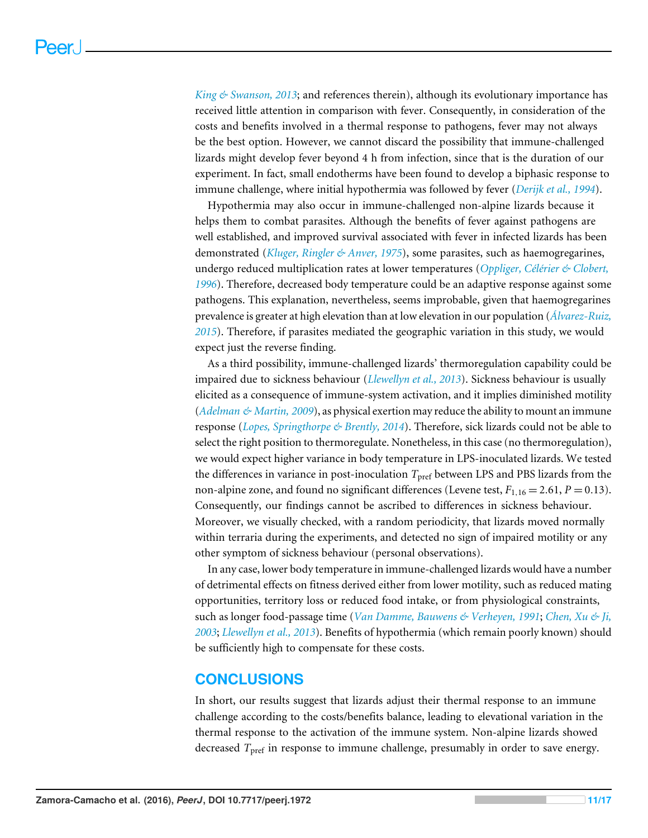*[King & Swanson, 2013](#page-15-9)*; and references therein), although its evolutionary importance has received little attention in comparison with fever. Consequently, in consideration of the costs and benefits involved in a thermal response to pathogens, fever may not always be the best option. However, we cannot discard the possibility that immune-challenged lizards might develop fever beyond 4 h from infection, since that is the duration of our experiment. In fact, small endotherms have been found to develop a biphasic response to immune challenge, where initial hypothermia was followed by fever (*[Derijk et al., 1994](#page-14-13)*).

Hypothermia may also occur in immune-challenged non-alpine lizards because it helps them to combat parasites. Although the benefits of fever against pathogens are well established, and improved survival associated with fever in infected lizards has been demonstrated (*[Kluger, Ringler & Anver, 1975](#page-15-4)*), some parasites, such as haemogregarines, undergo reduced multiplication rates at lower temperatures (*[Oppliger, Célérier & Clobert,](#page-16-14) [1996](#page-16-14)*). Therefore, decreased body temperature could be an adaptive response against some pathogens. This explanation, nevertheless, seems improbable, given that haemogregarines prevalence is greater at high elevation than at low elevation in our population (*[Álvarez-Ruiz,](#page-13-6) [2015](#page-13-6)*). Therefore, if parasites mediated the geographic variation in this study, we would expect just the reverse finding.

As a third possibility, immune-challenged lizards' thermoregulation capability could be impaired due to sickness behaviour (*[Llewellyn et al., 2013](#page-15-13)*). Sickness behaviour is usually elicited as a consequence of immune-system activation, and it implies diminished motility (*[Adelman & Martin, 2009](#page-13-7)*), as physical exertion may reduce the ability to mount an immune response (*[Lopes, Springthorpe & Brently, 2014](#page-15-15)*). Therefore, sick lizards could not be able to select the right position to thermoregulate. Nonetheless, in this case (no thermoregulation), we would expect higher variance in body temperature in LPS-inoculated lizards. We tested the differences in variance in post-inoculation  $T_{\text{pref}}$  between LPS and PBS lizards from the non-alpine zone, and found no significant differences (Levene test,  $F_{1,16} = 2.61$ ,  $P = 0.13$ ). Consequently, our findings cannot be ascribed to differences in sickness behaviour. Moreover, we visually checked, with a random periodicity, that lizards moved normally within terraria during the experiments, and detected no sign of impaired motility or any other symptom of sickness behaviour (personal observations).

In any case, lower body temperature in immune-challenged lizards would have a number of detrimental effects on fitness derived either from lower motility, such as reduced mating opportunities, territory loss or reduced food intake, or from physiological constraints, such as longer food-passage time (*[Van Damme, Bauwens & Verheyen, 1991](#page-17-12)*; *[Chen, Xu & Ji,](#page-14-14) [2003](#page-14-14)*; *[Llewellyn et al., 2013](#page-15-13)*). Benefits of hypothermia (which remain poorly known) should be sufficiently high to compensate for these costs.

# **CONCLUSIONS**

In short, our results suggest that lizards adjust their thermal response to an immune challenge according to the costs/benefits balance, leading to elevational variation in the thermal response to the activation of the immune system. Non-alpine lizards showed decreased *T*pref in response to immune challenge, presumably in order to save energy.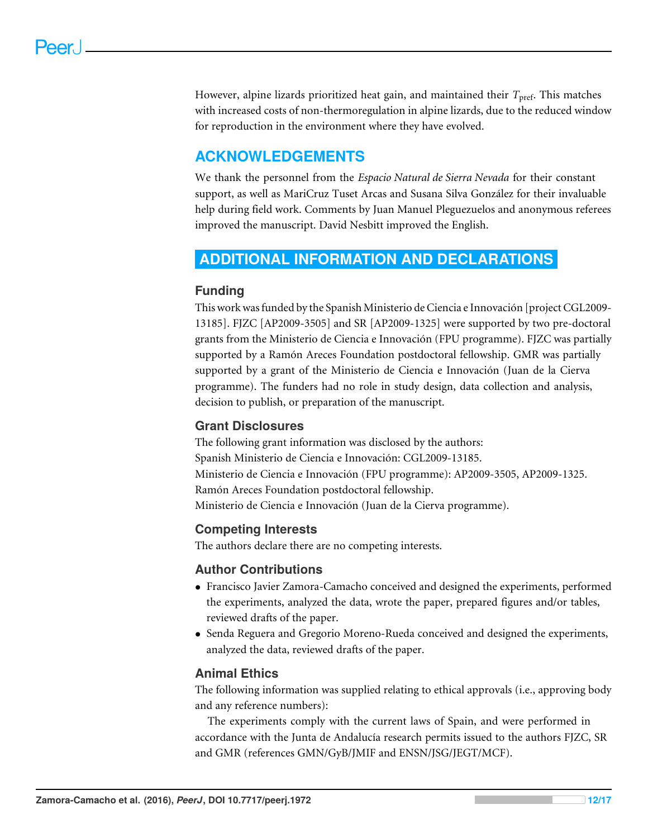However, alpine lizards prioritized heat gain, and maintained their *T*<sub>pref</sub>. This matches with increased costs of non-thermoregulation in alpine lizards, due to the reduced window for reproduction in the environment where they have evolved.

# **ACKNOWLEDGEMENTS**

We thank the personnel from the *Espacio Natural de Sierra Nevada* for their constant support, as well as MariCruz Tuset Arcas and Susana Silva González for their invaluable help during field work. Comments by Juan Manuel Pleguezuelos and anonymous referees improved the manuscript. David Nesbitt improved the English.

# <span id="page-12-0"></span>**ADDITIONAL INFORMATION AND DECLARATIONS**

# **Funding**

This work was funded by the Spanish Ministerio de Ciencia e Innovación [project CGL2009- 13185]. FJZC [AP2009-3505] and SR [AP2009-1325] were supported by two pre-doctoral grants from the Ministerio de Ciencia e Innovación (FPU programme). FJZC was partially supported by a Ramón Areces Foundation postdoctoral fellowship. GMR was partially supported by a grant of the Ministerio de Ciencia e Innovación (Juan de la Cierva programme). The funders had no role in study design, data collection and analysis, decision to publish, or preparation of the manuscript.

# **Grant Disclosures**

The following grant information was disclosed by the authors: Spanish Ministerio de Ciencia e Innovación: CGL2009-13185. Ministerio de Ciencia e Innovación (FPU programme): AP2009-3505, AP2009-1325. Ramón Areces Foundation postdoctoral fellowship. Ministerio de Ciencia e Innovación (Juan de la Cierva programme).

# **Competing Interests**

The authors declare there are no competing interests.

# **Author Contributions**

- [Francisco Javier Zamora-Camacho](#page-1-2) conceived and designed the experiments, performed the experiments, analyzed the data, wrote the paper, prepared figures and/or tables, reviewed drafts of the paper.
- [Senda Reguera](#page-1-3) and [Gregorio Moreno-Rueda](#page-1-4) conceived and designed the experiments, analyzed the data, reviewed drafts of the paper.

# **Animal Ethics**

The following information was supplied relating to ethical approvals (i.e., approving body and any reference numbers):

The experiments comply with the current laws of Spain, and were performed in accordance with the Junta de Andalucía research permits issued to the authors FJZC, SR and GMR (references GMN/GyB/JMIF and ENSN/JSG/JEGT/MCF).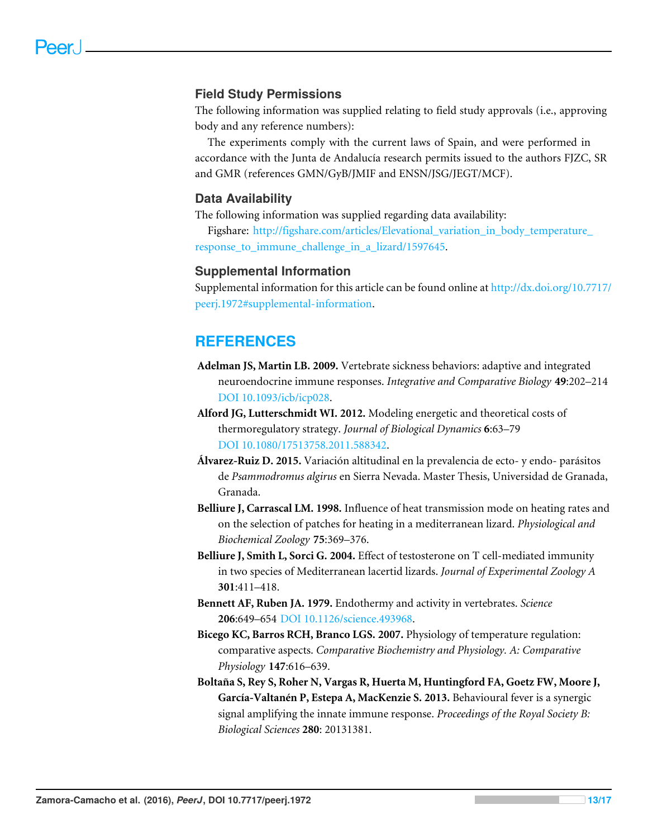### **Field Study Permissions**

The following information was supplied relating to field study approvals (i.e., approving body and any reference numbers):

The experiments comply with the current laws of Spain, and were performed in accordance with the Junta de Andalucía research permits issued to the authors FJZC, SR and GMR (references GMN/GyB/JMIF and ENSN/JSG/JEGT/MCF).

#### **Data Availability**

The following information was supplied regarding data availability:

Figshare: [http://figshare.com/articles/Elevational\\_variation\\_in\\_body\\_temperature\\_](http://figshare.com/articles/Elevational_variation_in_body_temperature_response_to_immune_challenge_in_a_lizard/1597645) [response\\_to\\_immune\\_challenge\\_in\\_a\\_lizard/1597645.](http://figshare.com/articles/Elevational_variation_in_body_temperature_response_to_immune_challenge_in_a_lizard/1597645)

#### **Supplemental Information**

Supplemental information for this article can be found online at [http://dx.doi.org/10.7717/](http://dx.doi.org/10.7717/peerj.1972#supplemental-information) [peerj.1972#supplemental-information.](http://dx.doi.org/10.7717/peerj.1972#supplemental-information)

# **REFERENCES**

- <span id="page-13-7"></span>**Adelman JS, Martin LB. 2009.** Vertebrate sickness behaviors: adaptive and integrated neuroendocrine immune responses. *Integrative and Comparative Biology* **49**:202–214 [DOI 10.1093/icb/icp028.](http://dx.doi.org/10.1093/icb/icp028)
- <span id="page-13-4"></span>**Alford JG, Lutterschmidt WI. 2012.** Modeling energetic and theoretical costs of thermoregulatory strategy. *Journal of Biological Dynamics* **6**:63–79 [DOI 10.1080/17513758.2011.588342.](http://dx.doi.org/10.1080/17513758.2011.588342)
- <span id="page-13-6"></span>**Álvarez-Ruiz D. 2015.** Variación altitudinal en la prevalencia de ecto- y endo- parásitos de *Psammodromus algirus* en Sierra Nevada. Master Thesis, Universidad de Granada, Granada.
- <span id="page-13-2"></span>**Belliure J, Carrascal LM. 1998.** Influence of heat transmission mode on heating rates and on the selection of patches for heating in a mediterranean lizard. *Physiological and Biochemical Zoology* **75**:369–376.
- <span id="page-13-5"></span>**Belliure J, Smith L, Sorci G. 2004.** Effect of testosterone on T cell-mediated immunity in two species of Mediterranean lacertid lizards. *Journal of Experimental Zoology A* **301**:411–418.
- <span id="page-13-3"></span>**Bennett AF, Ruben JA. 1979.** Endothermy and activity in vertebrates. *Science* **206**:649–654 [DOI 10.1126/science.493968.](http://dx.doi.org/10.1126/science.493968)
- <span id="page-13-0"></span>**Bicego KC, Barros RCH, Branco LGS. 2007.** Physiology of temperature regulation: comparative aspects. *Comparative Biochemistry and Physiology. A: Comparative Physiology* **147**:616–639.
- <span id="page-13-1"></span>**Boltaña S, Rey S, Roher N, Vargas R, Huerta M, Huntingford FA, Goetz FW, Moore J, García-Valtanén P, Estepa A, MacKenzie S. 2013.** Behavioural fever is a synergic signal amplifying the innate immune response. *Proceedings of the Royal Society B: Biological Sciences* **280**: 20131381.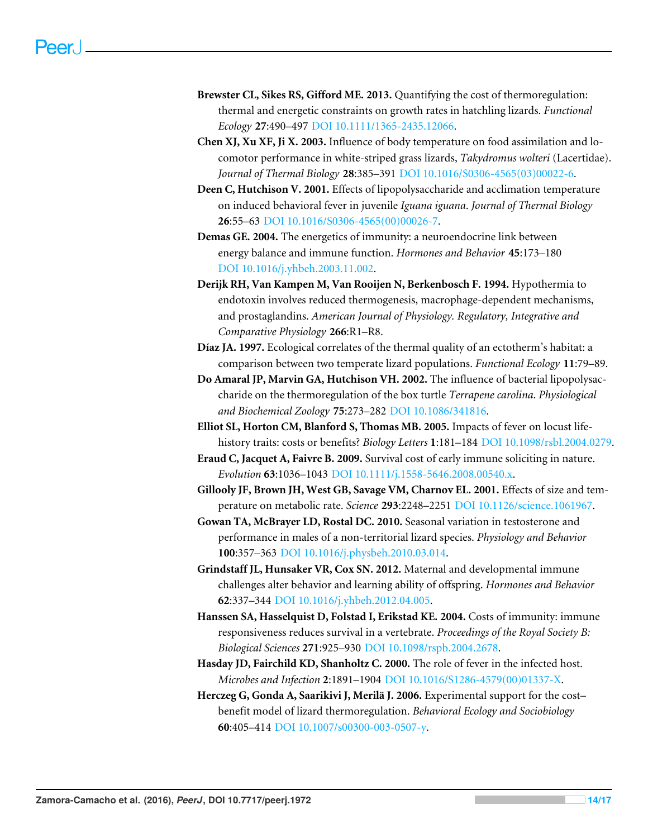- <span id="page-14-8"></span>**Brewster CL, Sikes RS, Gifford ME. 2013.** Quantifying the cost of thermoregulation: thermal and energetic constraints on growth rates in hatchling lizards. *Functional Ecology* **27**:490–497 [DOI 10.1111/1365-2435.12066.](http://dx.doi.org/10.1111/1365-2435.12066)
- <span id="page-14-14"></span>**Chen XJ, Xu XF, Ji X. 2003.** Influence of body temperature on food assimilation and locomotor performance in white-striped grass lizards, *Takydromus wolteri* (Lacertidae). *Journal of Thermal Biology* **28**:385–391 [DOI 10.1016/S0306-4565\(03\)00022-6.](http://dx.doi.org/10.1016/S0306-4565(03)00022-6)
- <span id="page-14-7"></span>**Deen C, Hutchison V. 2001.** Effects of lipopolysaccharide and acclimation temperature on induced behavioral fever in juvenile *Iguana iguana*. *Journal of Thermal Biology* **26**:55–63 [DOI 10.1016/S0306-4565\(00\)00026-7.](http://dx.doi.org/10.1016/S0306-4565(00)00026-7)
- <span id="page-14-0"></span>**Demas GE. 2004.** The energetics of immunity: a neuroendocrine link between energy balance and immune function. *Hormones and Behavior* **45**:173–180 [DOI 10.1016/j.yhbeh.2003.11.002.](http://dx.doi.org/10.1016/j.yhbeh.2003.11.002)
- <span id="page-14-13"></span>**Derijk RH, Van Kampen M, Van Rooijen N, Berkenbosch F. 1994.** Hypothermia to endotoxin involves reduced thermogenesis, macrophage-dependent mechanisms, and prostaglandins. *American Journal of Physiology. Regulatory, Integrative and Comparative Physiology* **266**:R1–R8.
- <span id="page-14-9"></span>**Díaz JA. 1997.** Ecological correlates of the thermal quality of an ectotherm's habitat: a comparison between two temperate lizard populations. *Functional Ecology* **11**:79–89.
- <span id="page-14-12"></span>**Do Amaral JP, Marvin GA, Hutchison VH. 2002.** The influence of bacterial lipopolysaccharide on the thermoregulation of the box turtle *Terrapene carolina*. *Physiological and Biochemical Zoology* **75**:273–282 [DOI 10.1086/341816.](http://dx.doi.org/10.1086/341816)
- <span id="page-14-5"></span>**Elliot SL, Horton CM, Blanford S, Thomas MB. 2005.** Impacts of fever on locust lifehistory traits: costs or benefits? *Biology Letters* **1**:181–184 [DOI 10.1098/rsbl.2004.0279.](http://dx.doi.org/10.1098/rsbl.2004.0279)
- <span id="page-14-3"></span>**Eraud C, Jacquet A, Faivre B. 2009.** Survival cost of early immune soliciting in nature. *Evolution* **63**:1036–1043 [DOI 10.1111/j.1558-5646.2008.00540.x.](http://dx.doi.org/10.1111/j.1558-5646.2008.00540.x)
- <span id="page-14-6"></span>**Gillooly JF, Brown JH, West GB, Savage VM, Charnov EL. 2001.** Effects of size and temperature on metabolic rate. *Science* **293**:2248–2251 [DOI 10.1126/science.1061967.](http://dx.doi.org/10.1126/science.1061967)
- <span id="page-14-10"></span>**Gowan TA, McBrayer LD, Rostal DC. 2010.** Seasonal variation in testosterone and performance in males of a non-territorial lizard species. *Physiology and Behavior* **100**:357–363 [DOI 10.1016/j.physbeh.2010.03.014.](http://dx.doi.org/10.1016/j.physbeh.2010.03.014)
- <span id="page-14-1"></span>**Grindstaff JL, Hunsaker VR, Cox SN. 2012.** Maternal and developmental immune challenges alter behavior and learning ability of offspring. *Hormones and Behavior* **62**:337–344 [DOI 10.1016/j.yhbeh.2012.04.005.](http://dx.doi.org/10.1016/j.yhbeh.2012.04.005)
- <span id="page-14-2"></span>**Hanssen SA, Hasselquist D, Folstad I, Erikstad KE. 2004.** Costs of immunity: immune responsiveness reduces survival in a vertebrate. *Proceedings of the Royal Society B: Biological Sciences* **271**:925–930 [DOI 10.1098/rspb.2004.2678.](http://dx.doi.org/10.1098/rspb.2004.2678)
- <span id="page-14-4"></span>**Hasday JD, Fairchild KD, Shanholtz C. 2000.** The role of fever in the infected host. *Microbes and Infection* **2**:1891–1904 [DOI 10.1016/S1286-4579\(00\)01337-X.](http://dx.doi.org/10.1016/S1286-4579(00)01337-X)
- <span id="page-14-11"></span>**Herczeg G, Gonda A, Saarikivi J, Merilä J. 2006.** Experimental support for the cost– benefit model of lizard thermoregulation. *Behavioral Ecology and Sociobiology* **60**:405–414 [DOI 10.1007/s00300-003-0507-y.](http://dx.doi.org/10.1007/s00300-003-0507-y)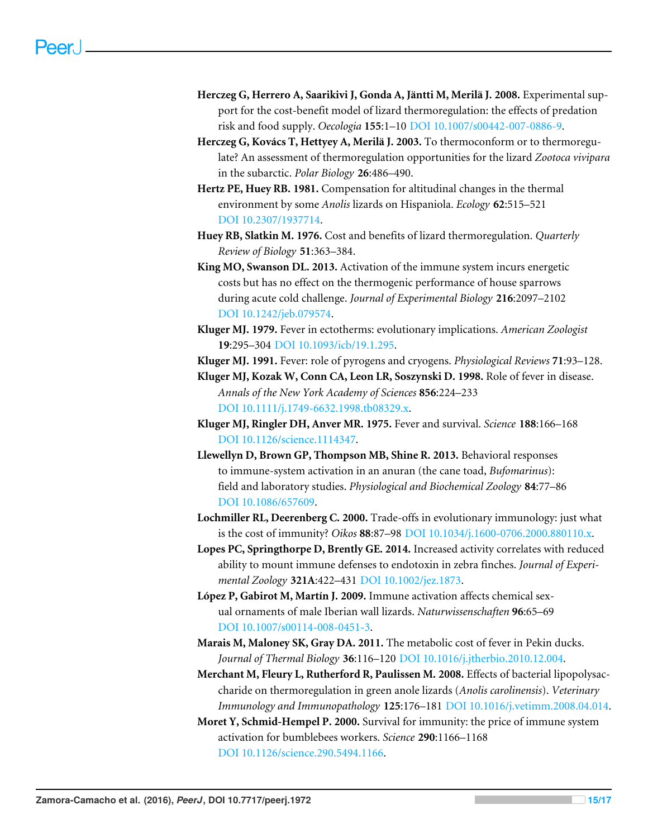- <span id="page-15-7"></span>**Herczeg G, Herrero A, Saarikivi J, Gonda A, Jäntti M, Merilä J. 2008.** Experimental support for the cost-benefit model of lizard thermoregulation: the effects of predation risk and food supply. *Oecologia* **155**:1–10 [DOI 10.1007/s00442-007-0886-9.](http://dx.doi.org/10.1007/s00442-007-0886-9)
- <span id="page-15-12"></span>**Herczeg G, Kovács T, Hettyey A, Merilä J. 2003.** To thermoconform or to thermoregulate? An assessment of thermoregulation opportunities for the lizard *Zootoca vivipara* in the subarctic. *Polar Biology* **26**:486–490.
- <span id="page-15-10"></span>**Hertz PE, Huey RB. 1981.** Compensation for altitudinal changes in the thermal environment by some *Anolis* lizards on Hispaniola. *Ecology* **62**:515–521 [DOI 10.2307/1937714.](http://dx.doi.org/10.2307/1937714)
- <span id="page-15-11"></span>**Huey RB, Slatkin M. 1976.** Cost and benefits of lizard thermoregulation. *Quarterly Review of Biology* **51**:363–384.
- <span id="page-15-9"></span>**King MO, Swanson DL. 2013.** Activation of the immune system incurs energetic costs but has no effect on the thermogenic performance of house sparrows during acute cold challenge. *Journal of Experimental Biology* **216**:2097–2102 [DOI 10.1242/jeb.079574.](http://dx.doi.org/10.1242/jeb.079574)
- <span id="page-15-5"></span>**Kluger MJ. 1979.** Fever in ectotherms: evolutionary implications. *American Zoologist* **19**:295–304 [DOI 10.1093/icb/19.1.295.](http://dx.doi.org/10.1093/icb/19.1.295)
- <span id="page-15-14"></span>**Kluger MJ. 1991.** Fever: role of pyrogens and cryogens. *Physiological Reviews* **71**:93–128.
- <span id="page-15-3"></span>**Kluger MJ, Kozak W, Conn CA, Leon LR, Soszynski D. 1998.** Role of fever in disease. *Annals of the New York Academy of Sciences* **856**:224–233 [DOI 10.1111/j.1749-6632.1998.tb08329.x.](http://dx.doi.org/10.1111/j.1749-6632.1998.tb08329.x)
- <span id="page-15-4"></span>**Kluger MJ, Ringler DH, Anver MR. 1975.** Fever and survival. *Science* **188**:166–168 [DOI 10.1126/science.1114347.](http://dx.doi.org/10.1126/science.1114347)
- <span id="page-15-13"></span>**Llewellyn D, Brown GP, Thompson MB, Shine R. 2013.** Behavioral responses to immune-system activation in an anuran (the cane toad, *Bufomarinus*): field and laboratory studies. *Physiological and Biochemical Zoology* **84**:77–86 [DOI 10.1086/657609.](http://dx.doi.org/10.1086/657609)
- <span id="page-15-0"></span>**Lochmiller RL, Deerenberg C. 2000.** Trade-offs in evolutionary immunology: just what is the cost of immunity? *Oikos* **88**:87–98 [DOI 10.1034/j.1600-0706.2000.880110.x.](http://dx.doi.org/10.1034/j.1600-0706.2000.880110.x)
- <span id="page-15-15"></span>**Lopes PC, Springthorpe D, Brently GE. 2014.** Increased activity correlates with reduced ability to mount immune defenses to endotoxin in zebra finches. *Journal of Experimental Zoology* **321A**:422–431 [DOI 10.1002/jez.1873.](http://dx.doi.org/10.1002/jez.1873)
- <span id="page-15-1"></span>**López P, Gabirot M, Martín J. 2009.** Immune activation affects chemical sexual ornaments of male Iberian wall lizards. *Naturwissenschaften* **96**:65–69 [DOI 10.1007/s00114-008-0451-3.](http://dx.doi.org/10.1007/s00114-008-0451-3)
- <span id="page-15-6"></span>**Marais M, Maloney SK, Gray DA. 2011.** The metabolic cost of fever in Pekin ducks. *Journal of Thermal Biology* **36**:116–120 [DOI 10.1016/j.jtherbio.2010.12.004.](http://dx.doi.org/10.1016/j.jtherbio.2010.12.004)
- <span id="page-15-8"></span>**Merchant M, Fleury L, Rutherford R, Paulissen M. 2008.** Effects of bacterial lipopolysaccharide on thermoregulation in green anole lizards (*Anolis carolinensis*). *Veterinary Immunology and Immunopathology* **125**:176–181 [DOI 10.1016/j.vetimm.2008.04.014.](http://dx.doi.org/10.1016/j.vetimm.2008.04.014)
- <span id="page-15-2"></span>**Moret Y, Schmid-Hempel P. 2000.** Survival for immunity: the price of immune system activation for bumblebees workers. *Science* **290**:1166–1168 [DOI 10.1126/science.290.5494.1166.](http://dx.doi.org/10.1126/science.290.5494.1166)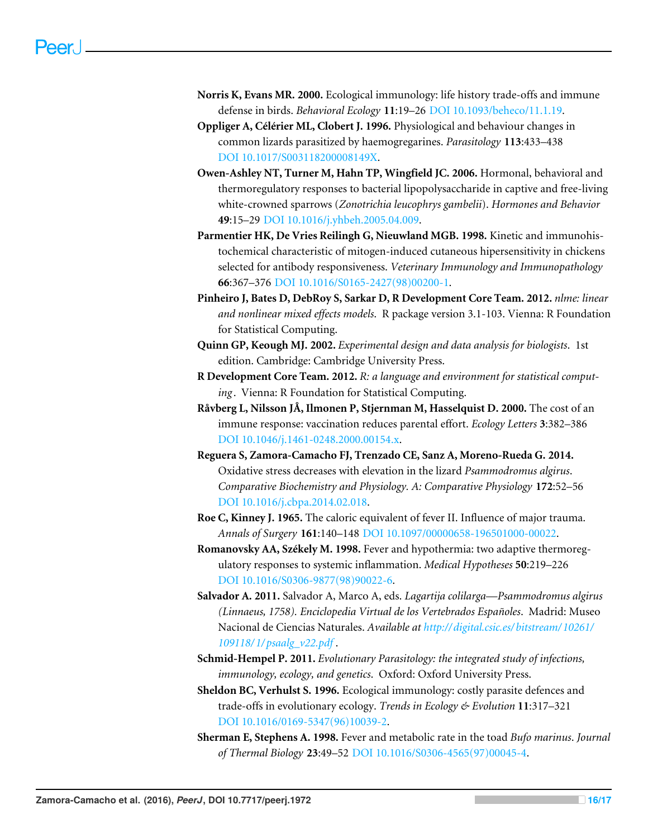- <span id="page-16-2"></span>**Norris K, Evans MR. 2000.** Ecological immunology: life history trade-offs and immune defense in birds. *Behavioral Ecology* **11**:19–26 [DOI 10.1093/beheco/11.1.19.](http://dx.doi.org/10.1093/beheco/11.1.19)
- <span id="page-16-14"></span>**Oppliger A, Célérier ML, Clobert J. 1996.** Physiological and behaviour changes in common lizards parasitized by haemogregarines. *Parasitology* **113**:433–438 [DOI 10.1017/S003118200008149X.](http://dx.doi.org/10.1017/S003118200008149X)
- <span id="page-16-7"></span>**Owen-Ashley NT, Turner M, Hahn TP, Wingfield JC. 2006.** Hormonal, behavioral and thermoregulatory responses to bacterial lipopolysaccharide in captive and free-living white-crowned sparrows (*Zonotrichia leucophrys gambelii*). *Hormones and Behavior* **49**:15–29 [DOI 10.1016/j.yhbeh.2005.04.009.](http://dx.doi.org/10.1016/j.yhbeh.2005.04.009)
- <span id="page-16-10"></span>**Parmentier HK, De Vries Reilingh G, Nieuwland MGB. 1998.** Kinetic and immunohistochemical characteristic of mitogen-induced cutaneous hipersensitivity in chickens selected for antibody responsiveness. *Veterinary Immunology and Immunopathology* **66**:367–376 [DOI 10.1016/S0165-2427\(98\)00200-1.](http://dx.doi.org/10.1016/S0165-2427(98)00200-1)
- <span id="page-16-12"></span>**Pinheiro J, Bates D, DebRoy S, Sarkar D, R Development Core Team. 2012.** *nlme: linear and nonlinear mixed effects models*. R package version 3.1-103. Vienna: R Foundation for Statistical Computing.
- <span id="page-16-11"></span>**Quinn GP, Keough MJ. 2002.** *Experimental design and data analysis for biologists*. 1st edition. Cambridge: Cambridge University Press.
- <span id="page-16-13"></span>**R Development Core Team. 2012.** *R: a language and environment for statistical comput*ing. Vienna: R Foundation for Statistical Computing.
- <span id="page-16-3"></span>**Råvberg L, Nilsson JÅ, Ilmonen P, Stjernman M, Hasselquist D. 2000.** The cost of an immune response: vaccination reduces parental effort. *Ecology Letters* **3**:382–386 [DOI 10.1046/j.1461-0248.2000.00154.x.](http://dx.doi.org/10.1046/j.1461-0248.2000.00154.x)
- <span id="page-16-8"></span>**Reguera S, Zamora-Camacho FJ, Trenzado CE, Sanz A, Moreno-Rueda G. 2014.** Oxidative stress decreases with elevation in the lizard *Psammodromus algirus*. *Comparative Biochemistry and Physiology. A: Comparative Physiology* **172**:52–56 [DOI 10.1016/j.cbpa.2014.02.018.](http://dx.doi.org/10.1016/j.cbpa.2014.02.018)
- <span id="page-16-4"></span>**Roe C, Kinney J. 1965.** The caloric equivalent of fever II. Influence of major trauma. *Annals of Surgery* **161**:140–148 [DOI 10.1097/00000658-196501000-00022.](http://dx.doi.org/10.1097/00000658-196501000-00022)
- <span id="page-16-5"></span>**Romanovsky AA, Székely M. 1998.** Fever and hypothermia: two adaptive thermoregulatory responses to systemic inflammation. *Medical Hypotheses* **50**:219–226 [DOI 10.1016/S0306-9877\(98\)90022-6.](http://dx.doi.org/10.1016/S0306-9877(98)90022-6)
- <span id="page-16-9"></span>**Salvador A. 2011.** Salvador A, Marco A, eds. *Lagartija colilarga—Psammodromus algirus (Linnaeus, 1758). Enciclopedia Virtual de los Vertebrados Españoles*. Madrid: Museo Nacional de Ciencias Naturales. *Available at [http://digital.csic.es/ bitstream/ 10261/](http://digital.csic.es/bitstream/10261/109118/1/psaalg_v22.pdf) [109118/ 1/ psaalg\\_v22.pdf](http://digital.csic.es/bitstream/10261/109118/1/psaalg_v22.pdf)* .
- <span id="page-16-0"></span>**Schmid-Hempel P. 2011.** *Evolutionary Parasitology: the integrated study of infections, immunology, ecology, and genetics*. Oxford: Oxford University Press.
- <span id="page-16-1"></span>**Sheldon BC, Verhulst S. 1996.** Ecological immunology: costly parasite defences and trade-offs in evolutionary ecology. *Trends in Ecology & Evolution* **11**:317–321 [DOI 10.1016/0169-5347\(96\)10039-2.](http://dx.doi.org/10.1016/0169-5347(96)10039-2)
- <span id="page-16-6"></span>**Sherman E, Stephens A. 1998.** Fever and metabolic rate in the toad *Bufo marinus*. *Journal of Thermal Biology* **23**:49–52 [DOI 10.1016/S0306-4565\(97\)00045-4.](http://dx.doi.org/10.1016/S0306-4565(97)00045-4)